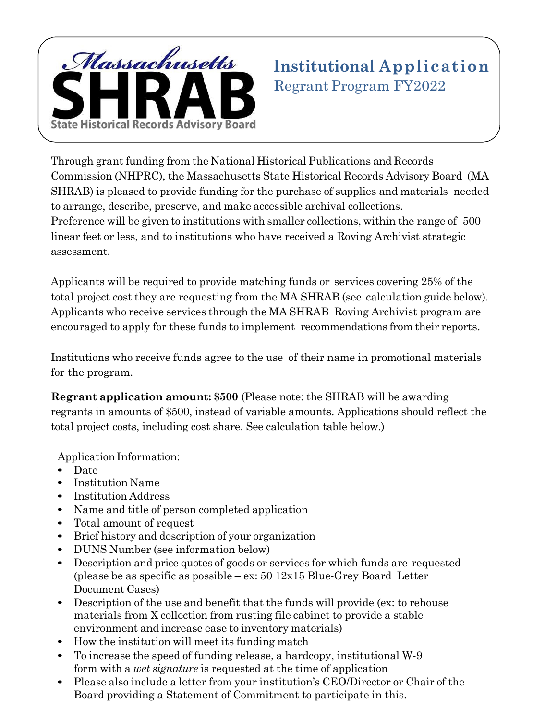

Through grant funding from the National Historical Publications and Records Commission (NHPRC), the Massachusetts State Historical Records Advisory Board (MA SHRAB) is pleased to provide funding for the purchase of supplies and materials needed to arrange, describe, preserve, and make accessible archival collections. Preference will be given to institutions with smaller collections, within the range of 500 linear feet or less, and to institutions who have received a Roving Archivist strategic assessment.

Applicants will be required to provide matching funds or services covering 25% of the total project cost they are requesting from the MA SHRAB (see calculation guide below). Applicants who receive services through the MA SHRAB Roving Archivist program are encouraged to apply for these funds to implement recommendations from their reports.

Institutions who receive funds agree to the use of their name in promotional materials for the program.

**Regrant application amount: \$500** (Please note: the SHRAB will be awarding regrants in amounts of \$500, instead of variable amounts. Applications should reflect the total project costs, including cost share. See calculation table below.)

Application Information:

- Date
- Institution Name
- Institution Address
- Name and title of person completed application
- Total amount of request
- Brief history and description of your organization
- DUNS Number (see information below)
- Description and price quotes of goods or services for which funds are requested (please be as specific as possible – ex:  $50\frac{12x}{15}$  Blue-Grey Board Letter Document Cases)
- Description of the use and benefit that the funds will provide (ex: to rehouse materials from X collection from rusting file cabinet to provide a stable environment and increase ease to inventory materials)
- How the institution will meet its funding match
- To increase the speed of funding release, a hardcopy, institutional W-9 form with a *wet signature* is requested at the time of application
- Please also include a letter from your institution's CEO/Director or Chair of the Board providing a Statement of Commitment to participate in this.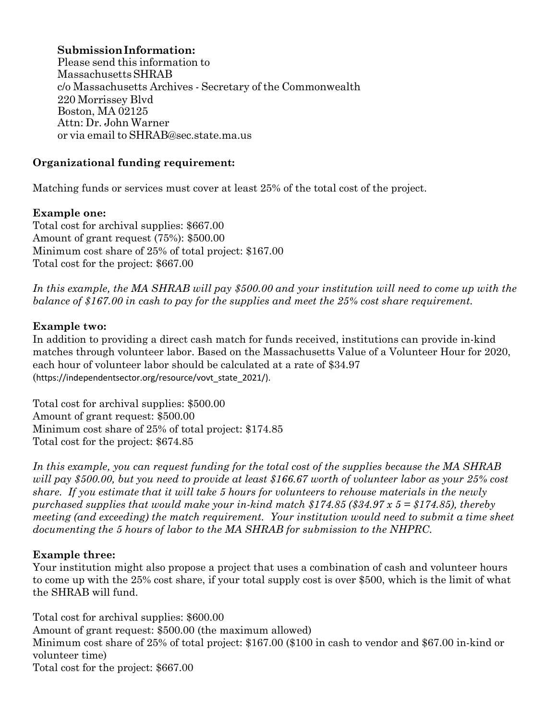# **Submission Information:**

Please send this information to MassachusettsSHRAB c/o Massachusetts Archives - Secretary of the Commonwealth 220 Morrissey Blvd Boston, MA 02125 Attn: Dr. John Warner or via email to SHRAB@sec.state.ma.us

## **Organizational funding requirement:**

Matching funds or services must cover at least 25% of the total cost of the project.

### **Example one:**

Total cost for archival supplies: \$667.00 Amount of grant request (75%): \$500.00 Minimum cost share of 25% of total project: \$167.00 Total cost for the project: \$667.00

*In this example, the MA SHRAB will pay \$500.00 and your institution will need to come up with the balance of \$167.00 in cash to pay for the supplies and meet the 25% cost share requirement.* 

# **Example two:**

In addition to providing a direct cash match for funds received, institutions can provide in-kind matches through volunteer labor. Based on the Massachusetts Value of a Volunteer Hour for 2020, each hour of volunteer labor should be calculated at a rate of \$34.97 (https://independentsector.org/resource/vovt\_state\_2021/).

Total cost for archival supplies: \$500.00 Amount of grant request: \$500.00 Minimum cost share of 25% of total project: \$174.85 Total cost for the project: \$674.85

*In this example, you can request funding for the total cost of the supplies because the MA SHRAB will pay \$500.00, but you need to provide at least \$166.67 worth of volunteer labor as your 25% cost share. If you estimate that it will take 5 hours for volunteers to rehouse materials in the newly purchased supplies that would make your in-kind match \$174.85 (\$34.97 x 5 = \$174.85), thereby meeting (and exceeding) the match requirement. Your institution would need to submit a time sheet documenting the 5 hours of labor to the MA SHRAB for submission to the NHPRC.* 

### **Example three:**

Your institution might also propose a project that uses a combination of cash and volunteer hours to come up with the 25% cost share, if your total supply cost is over \$500, which is the limit of what the SHRAB will fund.

Total cost for archival supplies: \$600.00 Amount of grant request: \$500.00 (the maximum allowed) Minimum cost share of 25% of total project: \$167.00 (\$100 in cash to vendor and \$67.00 in-kind or volunteer time) Total cost for the project: \$667.00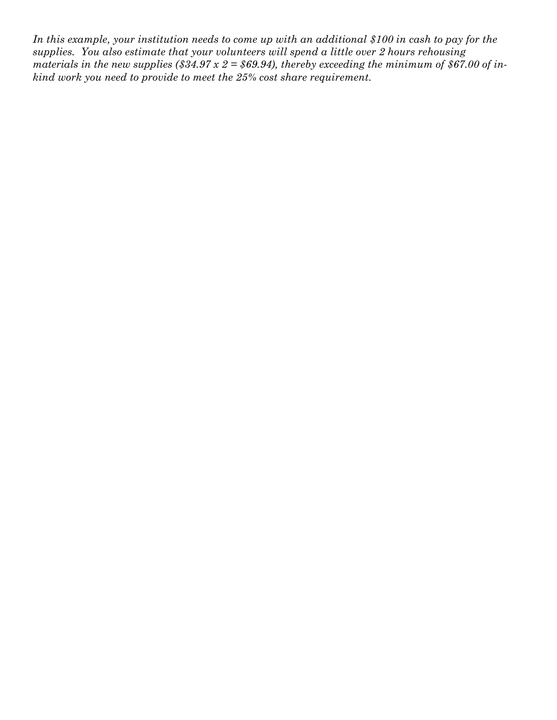*In this example, your institution needs to come up with an additional \$100 in cash to pay for the supplies. You also estimate that your volunteers will spend a little over 2 hours rehousing materials in the new supplies (\$34.97*  $x$  *2 = \$69.94), thereby exceeding the minimum of \$67.00 of inkind work you need to provide to meet the 25% cost share requirement.*